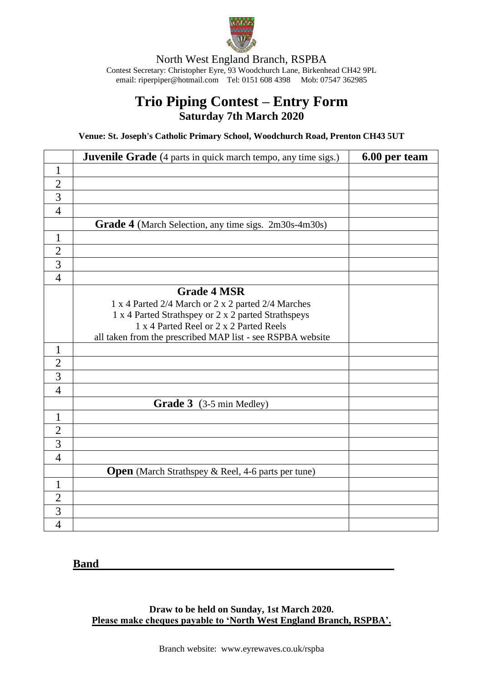

North West England Branch, RSPBA Contest Secretary: Christopher Eyre, 93 Woodchurch Lane, Birkenhead CH42 9PL email[: riperpiper@hotmail.com](mailto:riperpiper@hotmail.com) Tel: 0151 608 4398 Mob: 07547 362985

## **Trio Piping Contest – Entry Form Saturday 7th March 2020**

**Venue: St. Joseph's Catholic Primary School, Woodchurch Road, Prenton CH43 5UT**

|                | <b>Juvenile Grade</b> (4 parts in quick march tempo, any time sigs.) | 6.00 per team |
|----------------|----------------------------------------------------------------------|---------------|
| $\mathbf{1}$   |                                                                      |               |
| $\overline{2}$ |                                                                      |               |
| $\overline{3}$ |                                                                      |               |
| $\overline{4}$ |                                                                      |               |
|                | <b>Grade 4</b> (March Selection, any time sigs. 2m30s-4m30s)         |               |
| $\mathbf{1}$   |                                                                      |               |
| $\overline{2}$ |                                                                      |               |
| $\overline{3}$ |                                                                      |               |
| $\overline{4}$ |                                                                      |               |
|                | <b>Grade 4 MSR</b>                                                   |               |
|                | 1 x 4 Parted 2/4 March or 2 x 2 parted 2/4 Marches                   |               |
|                | 1 x 4 Parted Strathspey or 2 x 2 parted Strathspeys                  |               |
|                | 1 x 4 Parted Reel or 2 x 2 Parted Reels                              |               |
|                | all taken from the prescribed MAP list - see RSPBA website           |               |
| $\mathbf{1}$   |                                                                      |               |
| $\overline{2}$ |                                                                      |               |
| $\overline{3}$ |                                                                      |               |
| $\overline{4}$ |                                                                      |               |
|                | Grade 3 (3-5 min Medley)                                             |               |
| $\mathbf{1}$   |                                                                      |               |
| $\overline{2}$ |                                                                      |               |
| $\overline{3}$ |                                                                      |               |
| $\overline{4}$ |                                                                      |               |
|                | <b>Open</b> (March Strathspey & Reel, 4-6 parts per tune)            |               |
| $\mathbf{1}$   |                                                                      |               |
| $\overline{2}$ |                                                                      |               |
| $\overline{3}$ |                                                                      |               |
| $\overline{4}$ |                                                                      |               |

**Band**

**Draw to be held on Sunday, 1st March 2020. Please make cheques payable to 'North West England Branch, RSPBA'.**